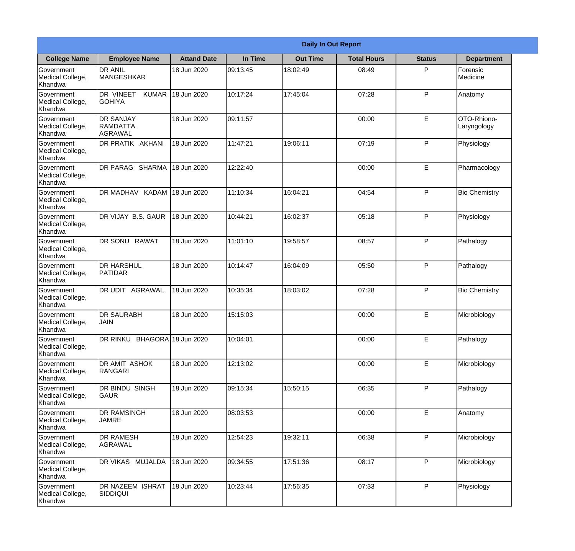|                                                  |                                                |                    |          | <b>Daily In Out Report</b> |                    |               |                            |
|--------------------------------------------------|------------------------------------------------|--------------------|----------|----------------------------|--------------------|---------------|----------------------------|
| <b>College Name</b>                              | <b>Employee Name</b>                           | <b>Attand Date</b> | In Time  | <b>Out Time</b>            | <b>Total Hours</b> | <b>Status</b> | <b>Department</b>          |
| Government<br>Medical College,<br>Khandwa        | <b>DR ANIL</b><br><b>MANGESHKAR</b>            | 18 Jun 2020        | 09:13:45 | 18:02:49                   | 08:49              | P             | Forensic<br>Medicine       |
| Government<br>Medical College,<br>Khandwa        | DR VINEET<br><b>KUMAR</b><br><b>GOHIYA</b>     | 18 Jun 2020        | 10:17:24 | 17:45:04                   | 07:28              | P             | Anatomy                    |
| <b>Government</b><br>Medical College,<br>Khandwa | <b>DR SANJAY</b><br><b>RAMDATTA</b><br>AGRAWAL | 18 Jun 2020        | 09:11:57 |                            | 00:00              | E             | OTO-Rhiono-<br>Laryngology |
| <b>Government</b><br>Medical College,<br>Khandwa | <b>DR PRATIK AKHANI</b>                        | 18 Jun 2020        | 11:47:21 | 19:06:11                   | 07:19              | P             | Physiology                 |
| Government<br>Medical College,<br>Khandwa        | <b>DR PARAG SHARMA</b>                         | 18 Jun 2020        | 12:22:40 |                            | 00:00              | E             | Pharmacology               |
| Government<br>Medical College,<br>Khandwa        | DR MADHAV KADAM                                | 18 Jun 2020        | 11:10:34 | 16:04:21                   | 04:54              | P             | <b>Bio Chemistry</b>       |
| <b>Government</b><br>Medical College,<br>Khandwa | DR VIJAY B.S. GAUR                             | 18 Jun 2020        | 10:44:21 | 16:02:37                   | 05:18              | P             | Physiology                 |
| <b>Government</b><br>Medical College,<br>Khandwa | DR SONU RAWAT                                  | 18 Jun 2020        | 11:01:10 | 19:58:57                   | 08:57              | P             | Pathalogy                  |
| Government<br>Medical College,<br>Khandwa        | <b>DR HARSHUL</b><br><b>PATIDAR</b>            | 18 Jun 2020        | 10:14:47 | 16:04:09                   | 05:50              | P             | Pathalogy                  |
| Government<br>Medical College,<br>Khandwa        | DR UDIT AGRAWAL                                | 18 Jun 2020        | 10:35:34 | 18:03:02                   | 07:28              | P             | <b>Bio Chemistry</b>       |
| Government<br>Medical College,<br>Khandwa        | IDR SAURABH<br><b>JAIN</b>                     | 18 Jun 2020        | 15:15:03 |                            | 00:00              | E             | Microbiology               |
| Government<br>Medical College,<br>Khandwa        | DR RINKU BHAGORA 18 Jun 2020                   |                    | 10:04:01 |                            | 00:00              | E             | Pathalogy                  |
| Government<br>Medical College,<br>Khandwa        | DR AMIT ASHOK<br><b>RANGARI</b>                | 18 Jun 2020        | 12:13:02 |                            | 00:00              | E             | Microbiology               |
| Government<br>Medical College,<br>Khandwa        | DR BINDU SINGH<br><b>GAUR</b>                  | 18 Jun 2020        | 09:15:34 | 15:50:15                   | 06:35              | P             | Pathalogy                  |
| Government<br>Medical College,<br>Khandwa        | <b>DR RAMSINGH</b><br><b>JAMRE</b>             | 18 Jun 2020        | 08:03:53 |                            | 00:00              | E             | Anatomy                    |
| Government<br>Medical College,<br>Khandwa        | <b>DR RAMESH</b><br>AGRAWAL                    | 18 Jun 2020        | 12:54:23 | 19:32:11                   | 06:38              | P             | Microbiology               |
| Government<br>Medical College,<br>Khandwa        | <b>DR VIKAS MUJALDA</b>                        | 18 Jun 2020        | 09:34:55 | 17:51:36                   | 08:17              | P             | Microbiology               |
| Government<br>Medical College,<br>Khandwa        | <b>DR NAZEEM ISHRAT</b><br><b>SIDDIQUI</b>     | 18 Jun 2020        | 10:23:44 | 17:56:35                   | 07:33              | P             | Physiology                 |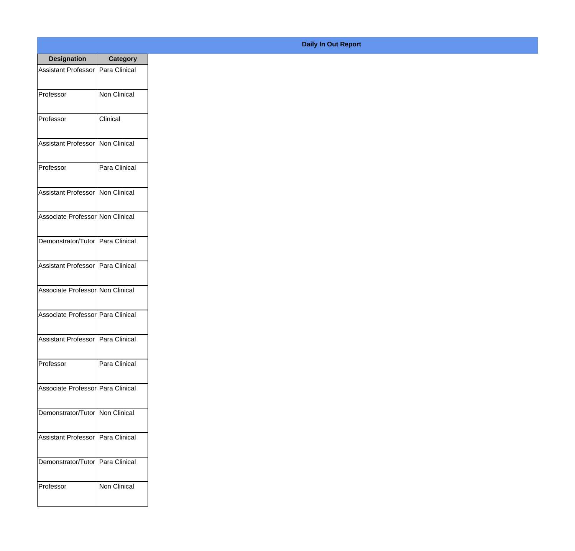| <b>Designation</b>                  | <b>Category</b>     |
|-------------------------------------|---------------------|
| Assistant Professor   Para Clinical |                     |
| Professor                           | <b>Non Clinical</b> |
| Professor                           | Clinical            |
| Assistant Professor                 | Non Clinical        |
| Professor                           | Para Clinical       |
| Assistant Professor   Non Clinical  |                     |
| Associate Professor Non Clinical    |                     |
| Demonstrator/Tutor   Para Clinical  |                     |
| Assistant Professor   Para Clinical |                     |
| Associate Professor Non Clinical    |                     |
| Associate Professor Para Clinical   |                     |
| Assistant Professor                 | Para Clinical       |
| Professor                           | Para Clinical       |
| Associate Professor   Para Clinical |                     |
| Demonstrator/Tutor   Non Clinical   |                     |
| <b>Assistant Professor</b>          | Para Clinical       |
| Demonstrator/Tutor                  | Para Clinical       |
| Professor                           | Non Clinical        |

## **Daily In Out Report**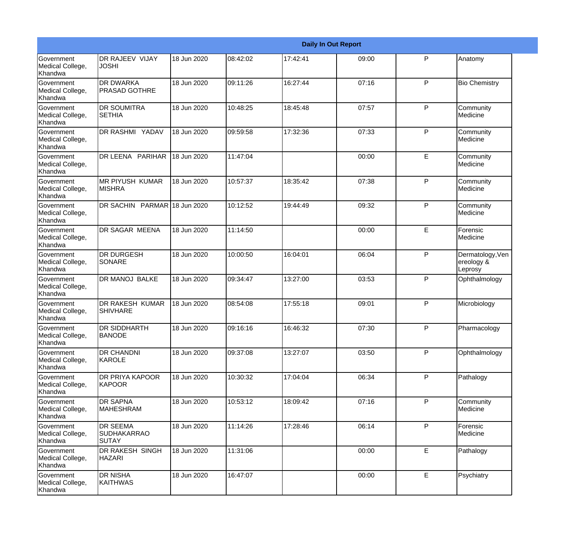|                                                  |                                           |             |          |          | <b>Daily In Out Report</b> |              |                                           |
|--------------------------------------------------|-------------------------------------------|-------------|----------|----------|----------------------------|--------------|-------------------------------------------|
| <b>Government</b><br>Medical College,<br>Khandwa | DR RAJEEV VIJAY<br><b>JOSHI</b>           | 18 Jun 2020 | 08:42:02 | 17:42:41 | 09:00                      | P            | Anatomy                                   |
| <b>Government</b><br>Medical College,<br>Khandwa | <b>DR DWARKA</b><br><b>PRASAD GOTHRE</b>  | 18 Jun 2020 | 09:11:26 | 16:27:44 | 07:16                      | $\mathsf{P}$ | <b>Bio Chemistry</b>                      |
| <b>Government</b><br>Medical College,<br>Khandwa | <b>DR SOUMITRA</b><br><b>SETHIA</b>       | 18 Jun 2020 | 10:48:25 | 18:45:48 | 07:57                      | $\mathsf{P}$ | Community<br>Medicine                     |
| Government<br>Medical College,<br>Khandwa        | DR RASHMI YADAV                           | 18 Jun 2020 | 09:59:58 | 17:32:36 | 07:33                      | $\mathsf{P}$ | Community<br>Medicine                     |
| <b>Government</b><br>Medical College,<br>Khandwa | DR LEENA PARIHAR                          | 18 Jun 2020 | 11:47:04 |          | 00:00                      | E            | Community<br>Medicine                     |
| Government<br>Medical College,<br>Khandwa        | <b>MR PIYUSH KUMAR</b><br><b>MISHRA</b>   | 18 Jun 2020 | 10:57:37 | 18:35:42 | 07:38                      | $\mathsf{P}$ | Community<br>Medicine                     |
| Government<br>Medical College,<br>Khandwa        | DR SACHIN PARMAR 18 Jun 2020              |             | 10:12:52 | 19:44:49 | 09:32                      | $\mathsf{P}$ | Community<br>Medicine                     |
| Government<br>Medical College,<br>Khandwa        | DR SAGAR MEENA                            | 18 Jun 2020 | 11:14:50 |          | 00:00                      | E            | Forensic<br>Medicine                      |
| <b>Government</b><br>Medical College,<br>Khandwa | <b>DR DURGESH</b><br><b>SONARE</b>        | 18 Jun 2020 | 10:00:50 | 16:04:01 | 06:04                      | $\mathsf{P}$ | Dermatology, Ven<br>ereology &<br>Leprosy |
| <b>Government</b><br>Medical College,<br>Khandwa | <b>DR MANOJ BALKE</b>                     | 18 Jun 2020 | 09:34:47 | 13:27:00 | 03:53                      | P            | Ophthalmology                             |
| <b>Government</b><br>Medical College,<br>Khandwa | <b>DR RAKESH KUMAR</b><br><b>SHIVHARE</b> | 18 Jun 2020 | 08:54:08 | 17:55:18 | 09:01                      | $\mathsf{P}$ | Microbiology                              |
| Government<br>Medical College,<br>Khandwa        | DR SIDDHARTH<br><b>BANODE</b>             | 18 Jun 2020 | 09:16:16 | 16:46:32 | 07:30                      | $\mathsf{P}$ | Pharmacology                              |
| Government<br>Medical College,<br>Khandwa        | DR CHANDNI<br>KAROLE                      | 18 Jun 2020 | 09:37:08 | 13:27:07 | 03:50                      | P            | Ophthalmology                             |
| Government<br>Medical College,<br>Khandwa        | DR PRIYA KAPOOR<br>KAPOOR                 | 18 Jun 2020 | 10:30:32 | 17:04:04 | 06:34                      | P            | Pathalogy                                 |
| Government<br>Medical College,<br>Khandwa        | <b>DR SAPNA</b><br><b>MAHESHRAM</b>       | 18 Jun 2020 | 10:53:12 | 18:09:42 | 07:16                      | $\mathsf{P}$ | Community<br>Medicine                     |
| Government<br>Medical College,<br>Khandwa        | DR SEEMA<br><b>SUDHAKARRAO</b><br>SUTAY   | 18 Jun 2020 | 11:14:26 | 17:28:46 | 06:14                      | P            | Forensic<br>Medicine                      |
| Government<br>Medical College,<br>Khandwa        | DR RAKESH SINGH<br><b>HAZARI</b>          | 18 Jun 2020 | 11:31:06 |          | 00:00                      | E            | Pathalogy                                 |
| Government<br>Medical College,<br>Khandwa        | DR NISHA<br><b>KAITHWAS</b>               | 18 Jun 2020 | 16:47:07 |          | 00:00                      | E            | Psychiatry                                |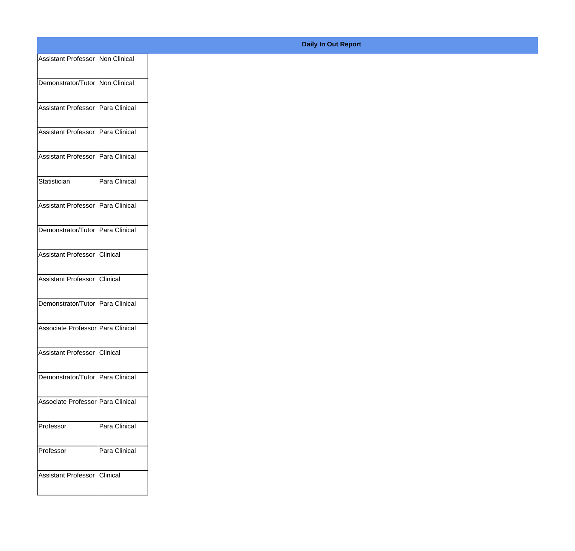| Assistant Professor Non Clinical    |               |
|-------------------------------------|---------------|
|                                     |               |
| Demonstrator/Tutor   Non Clinical   |               |
| Assistant Professor   Para Clinical |               |
| Assistant Professor   Para Clinical |               |
|                                     |               |
| Assistant Professor   Para Clinical |               |
| Statistician                        |               |
|                                     | Para Clinical |
| Assistant Professor   Para Clinical |               |
|                                     |               |
| Demonstrator/Tutor   Para Clinical  |               |
| Assistant Professor Clinical        |               |
|                                     |               |
| Assistant Professor Clinical        |               |
| Demonstrator/Tutor   Para Clinical  |               |
|                                     |               |
| Associate Professor   Para Clinical |               |
| Assistant Professor Clinical        |               |
|                                     |               |
| Demonstrator/Tutor Para Clinical    |               |
| Associate Professor Para Clinical   |               |
|                                     |               |
| Professor                           | Para Clinical |
| Professor                           | Para Clinical |
|                                     |               |
| Assistant Professor Clinical        |               |
|                                     |               |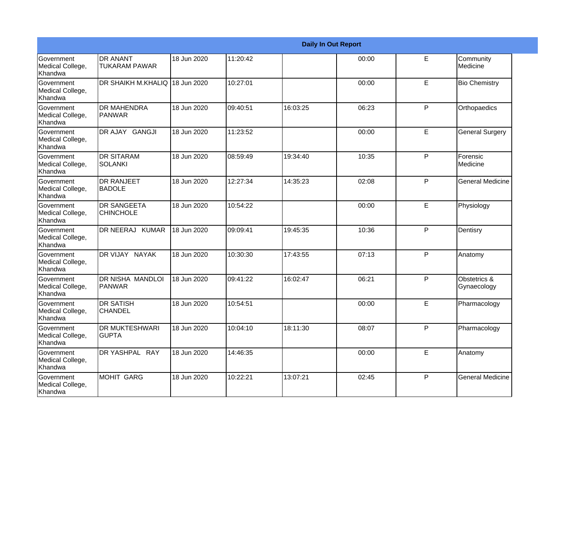|                                                  |                                         |             |          |          | <b>Daily In Out Report</b> |              |                             |
|--------------------------------------------------|-----------------------------------------|-------------|----------|----------|----------------------------|--------------|-----------------------------|
| Government<br>Medical College,<br>Khandwa        | <b>DR ANANT</b><br><b>TUKARAM PAWAR</b> | 18 Jun 2020 | 11:20:42 |          | 00:00                      | E            | Community<br>Medicine       |
| <b>Government</b><br>Medical College,<br>Khandwa | <b>DR SHAIKH M.KHALIQ</b>               | 18 Jun 2020 | 10:27:01 |          | 00:00                      | E            | <b>Bio Chemistry</b>        |
| <b>Government</b><br>Medical College,<br>Khandwa | <b>DR MAHENDRA</b><br><b>PANWAR</b>     | 18 Jun 2020 | 09:40:51 | 16:03:25 | 06:23                      | P            | Orthopaedics                |
| <b>Government</b><br>Medical College,<br>Khandwa | DR AJAY GANGJI                          | 18 Jun 2020 | 11:23:52 |          | 00:00                      | E            | <b>General Surgery</b>      |
| Government<br>Medical College,<br>Khandwa        | <b>DR SITARAM</b><br><b>SOLANKI</b>     | 18 Jun 2020 | 08:59:49 | 19:34:40 | 10:35                      | P            | Forensic<br>Medicine        |
| Government<br>Medical College,<br>Khandwa        | IDR RANJEET<br><b>BADOLE</b>            | 18 Jun 2020 | 12:27:34 | 14:35:23 | 02:08                      | P            | <b>General Medicine</b>     |
| Government<br>Medical College,<br><b>Khandwa</b> | <b>DR SANGEETA</b><br><b>CHINCHOLE</b>  | 18 Jun 2020 | 10:54:22 |          | 00:00                      | $\mathsf E$  | Physiology                  |
| Government<br>Medical College,<br>Khandwa        | DR NEERAJ KUMAR                         | 18 Jun 2020 | 09:09:41 | 19:45:35 | 10:36                      | P            | Dentisry                    |
| Government<br>Medical College,<br>Khandwa        | DR VIJAY NAYAK                          | 18 Jun 2020 | 10:30:30 | 17:43:55 | 07:13                      | P            | Anatomy                     |
| <b>Government</b><br>Medical College,<br>Khandwa | DR NISHA MANDLOI<br><b>PANWAR</b>       | 18 Jun 2020 | 09:41:22 | 16:02:47 | 06:21                      | P            | Obstetrics &<br>Gynaecology |
| <b>Government</b><br>Medical College,<br>Khandwa | <b>DR SATISH</b><br><b>CHANDEL</b>      | 18 Jun 2020 | 10:54:51 |          | 00:00                      | E            | Pharmacology                |
| Government<br>Medical College,<br>Khandwa        | <b>DR MUKTESHWARI</b><br><b>GUPTA</b>   | 18 Jun 2020 | 10:04:10 | 18:11:30 | 08:07                      | P            | Pharmacology                |
| Government<br>Medical College,<br>Khandwa        | DR YASHPAL RAY                          | 18 Jun 2020 | 14:46:35 |          | 00:00                      | E            | Anatomy                     |
| Government<br>Medical College,<br>Khandwa        | MOHIT GARG                              | 18 Jun 2020 | 10:22:21 | 13:07:21 | 02:45                      | $\mathsf{P}$ | <b>General Medicine</b>     |